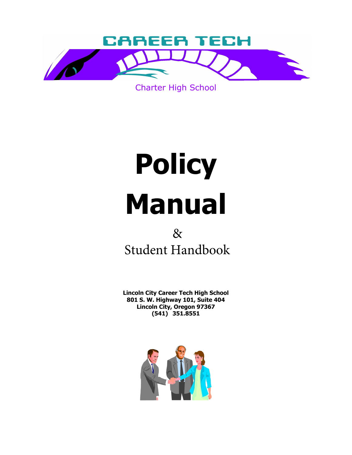

Charter High School

# **Policy Manual**

# & Student Handbook

**Lincoln City Career Tech High School 801 S. W. Highway 101, Suite 404 Lincoln City, Oregon 97367 (541) 351.8551**

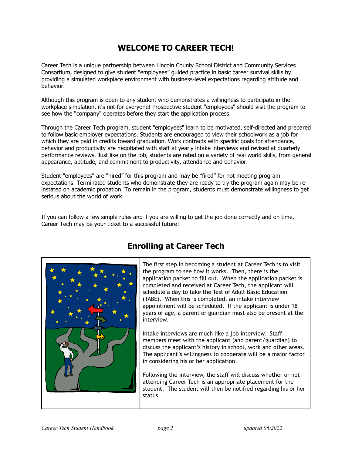# **WELCOME TO CAREER TECH!**

Career Tech is a unique partnership between Lincoln County School District and Community Services Consortium, designed to give student "employees" guided practice in basic career survival skills by providing a simulated workplace environment with business-level expectations regarding attitude and behavior.

Although this program is open to any student who demonstrates a willingness to participate in the workplace simulation, it's not for everyone! Prospective student "employees" should visit the program to see how the "company" operates before they start the application process.

Through the Career Tech program, student "employees" learn to be motivated, self-directed and prepared to follow basic employer expectations. Students are encouraged to view their schoolwork as a job for which they are paid in credits toward graduation. Work contracts with specific goals for attendance, behavior and productivity are negotiated with staff at yearly intake interviews and revised at quarterly performance reviews. Just like on the job, students are rated on a variety of real world skills, from general appearance, aptitude, and commitment to productivity, attendance and behavior.

Student "employees" are "hired" for this program and may be "fired" for not meeting program expectations. Terminated students who demonstrate they are ready to try the program again may be reinstated on academic probation. To remain in the program, students must demonstrate willingness to get serious about the world of work.

If you can follow a few simple rules and if you are willing to get the job done correctly and on time, Career Tech may be your ticket to a successful future!



# **Enrolling at Career Tech**

The first step in becoming a student at Career Tech is to visit the program to see how it works. Then, there is the application packet to fill out. When the application packet is completed and received at Career Tech, the applicant will schedule a day to take the Test of Adult Basic Education (TABE). When this is completed, an intake interview appointment will be scheduled. If the applicant is under 18 years of age, a parent or guardian must also be present at the interview.

Intake interviews are much like a job interview. Staff members meet with the applicant (and parent/guardian) to discuss the applicant's history in school, work and other areas. The applicant's willingness to cooperate will be a major factor in considering his or her application.

Following the interview, the staff will discuss whether or not attending Career Tech is an appropriate placement for the student. The student will then be notified regarding his or her status.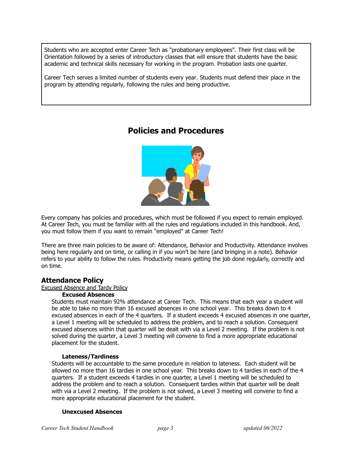Students who are accepted enter Career Tech as "probationary employees". Their first class will be Orientation followed by a series of introductory classes that will ensure that students have the basic academic and technical skills necessary for working in the program. Probation lasts one quarter.

Career Tech serves a limited number of students every year. Students must defend their place in the program by attending regularly, following the rules and being productive.

# **Policies and Procedures**



 At Career Tech, you must be familiar with all the rules and regulations included in this handbook. And, Every company has policies and procedures, which must be followed if you expect to remain employed. you must follow them if you want to remain "employed" at Career Tech!

 being here regularly and on time, or calling in if you won't be here (and bringing in a note). Behavior There are three main policies to be aware of: Attendance, Behavior and Productivity. Attendance involves refers to your ability to follow the rules. Productivity means getting the job done regularly, correctly and on time.

# **Attendance Policy**

#### Excused Absence and Tardy Policy

#### **Excused Absences**

Students must maintain 92% attendance at Career Tech. This means that each year a student will be able to take no more than 16 excused absences in one school year. This breaks down to 4 excused absences in each of the 4 quarters. If a student exceeds 4 excused absences in one quarter, a Level 1 meeting will be scheduled to address the problem, and to reach a solution. Consequent excused absences within that quarter will be dealt with via a Level 2 meeting. If the problem is not solved during the quarter, a Level 3 meeting will convene to find a more appropriate educational placement for the student.

#### **Lateness/Tardiness**

 Students will be accountable to the same procedure in relation to lateness. Each student will be allowed no more than 16 tardies in one school year. This breaks down to 4 tardies in each of the 4 address the problem and to reach a solution. Consequent tardies within that quarter will be dealt with via a Level 2 meeting. If the problem is not solved, a Level 3 meeting will convene to find a quarters. If a student exceeds 4 tardies in one quarter, a Level 1 meeting will be scheduled to more appropriate educational placement for the student.

#### **Unexcused Absences**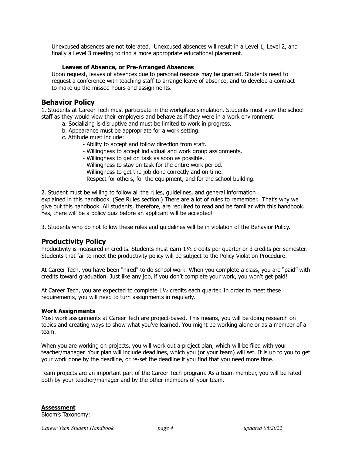Unexcused absences are not tolerated. Unexcused absences will result in a Level 1, Level 2, and finally a Level 3 meeting to find a more appropriate educational placement.

#### **Leaves of Absence, or Pre-Arranged Absences**

Upon request, leaves of absences due to personal reasons may be granted. Students need to request a conference with teaching staff to arrange leave of absence, and to develop a contract to make up the missed hours and assignments.

## **Behavior Policy**

1. Students at Career Tech must participate in the workplace simulation. Students must view the school staff as they would view their employers and behave as if they were in a work environment.

- a. Socializing is disruptive and must be limited to work in progress.
- b. Appearance must be appropriate for a work setting.
- c. Attitude must include:
	- Ability to accept and follow direction from staff.
	- Willingness to accept individual and work group assignments.
	- Willingness to get on task as soon as possible.
	- Willingness to stay on task for the entire work period.
	- Willingness to get the job done correctly and on time.
	- Respect for others, for the equipment, and for the school building.

2. Student must be willing to follow all the rules, guidelines, and general information explained in this handbook. (See Rules section.) There are a lot of rules to remember. That's why we give out this handbook. All students, therefore, are required to read and be familiar with this handbook. Yes, there will be a policy quiz before an applicant will be accepted!

3. Students who do not follow these rules and guidelines will be in violation of the Behavior Policy.

#### **Productivity Policy**

Productivity is measured in credits. Students must earn 1½ credits per quarter or 3 credits per semester. Students that fail to meet the productivity policy will be subject to the Policy Violation Procedure.

 At Career Tech, you have been "hired" to do school work. When you complete a class, you are "paid" with credits toward graduation. Just like any job, if you don't complete your work, you won't get paid!

 At Career Tech, you are expected to complete 1½ credits each quarter. In order to meet these requirements, you will need to turn assignments in regularly.

#### **Work Assignments**

 Most work assignments at Career Tech are project-based. This means, you will be doing research on topics and creating ways to show what you've learned. You might be working alone or as a member of a team.

 When you are working on projects, you will work out a project plan, which will be filed with your teacher/manager. Your plan will include deadlines, which you (or your team) will set. It is up to you to get your work done by the deadline, or re-set the deadline if you find that you need more time.

 Team projects are an important part of the Career Tech program. As a team member, you will be rated both by your teacher/manager and by the other members of your team.

**Assessment** Bloom's Taxonomy: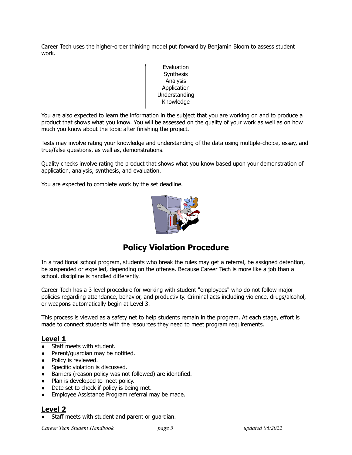Career Tech uses the higher-order thinking model put forward by Benjamin Bloom to assess student work.

> Evaluation **Synthesis** Analysis **Application** Understanding Knowledge

 You are also expected to learn the information in the subject that you are working on and to produce a product that shows what you know. You will be assessed on the quality of your work as well as on how much you know about the topic after finishing the project.

Tests may involve rating your knowledge and understanding of the data using multiple-choice, essay, and true/false questions, as well as, demonstrations.

Quality checks involve rating the product that shows what you know based upon your demonstration of application, analysis, synthesis, and evaluation.

You are expected to complete work by the set deadline.



# **Policy Violation Procedure**

 In a traditional school program, students who break the rules may get a referral, be assigned detention, be suspended or expelled, depending on the offense. Because Career Tech is more like a job than a school, discipline is handled differently.

 or weapons automatically begin at Level 3. Career Tech has a 3 level procedure for working with student "employees" who do not follow major policies regarding attendance, behavior, and productivity. Criminal acts including violence, drugs/alcohol,

This process is viewed as a safety net to help students remain in the program. At each stage, effort is made to connect students with the resources they need to meet program requirements.

# **Level 1**

- Staff meets with student.
- Parent/quardian may be notified.
- Policy is reviewed.
- Specific violation is discussed.
- Barriers (reason policy was not followed) are identified.
- Plan is developed to meet policy.
- Date set to check if policy is being met.
- Employee Assistance Program referral may be made.

## **Level 2**

Staff meets with student and parent or guardian.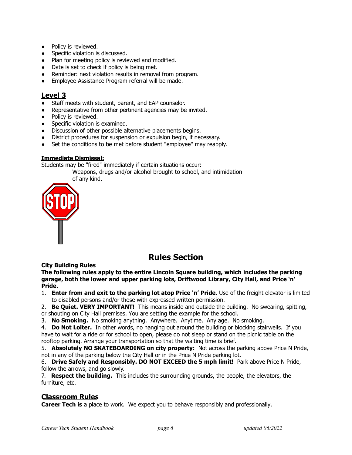- Policy is reviewed.
- Specific violation is discussed.
- Plan for meeting policy is reviewed and modified.
- Date is set to check if policy is being met.
- Reminder: next violation results in removal from program.
- Employee Assistance Program referral will be made.

# **Level 3**

- Staff meets with student, parent, and EAP counselor.
- Representative from other pertinent agencies may be invited.
- Policy is reviewed.
- Specific violation is examined.
- Discussion of other possible alternative placements begins.
- District procedures for suspension or expulsion begin, if necessary.
- Set the conditions to be met before student "employee" may reapply.

## **Immediate Dismissal:**

Students may be "fired" immediately if certain situations occur:

Weapons, drugs and/or alcohol brought to school, and intimidation of any kind.



# **Rules Section**

## **City Building Rules**

**The following rules apply to the entire Lincoln Square building, which includes the parking garage, both the lower and upper parking lots, Driftwood Library, City Hall, and Price 'n' Pride.**

- 1. **Enter from and exit to the parking lot atop Price 'n' Pride**. Use of the freight elevator is limited to disabled persons and/or those with expressed written permission.
- 2. **Be Quiet. VERY IMPORTANT!** This means inside and outside the building. No swearing, spitting, or shouting on City Hall premises. You are setting the example for the school.
- 3. **No Smoking.** No smoking anything. Anywhere. Anytime. Any age. No smoking.

4. **Do Not Loiter.** In other words, no hanging out around the building or blocking stairwells. If you have to wait for a ride or for school to open, please do not sleep or stand on the picnic table on the rooftop parking. Arrange your transportation so that the waiting time is brief.

 not in any of the parking below the City Hall or in the Price N Pride parking lot. 5. **Absolutely NO SKATEBOARDING on city property:** Not across the parking above Price N Pride,

6. **Drive Safely and Responsibly. DO NOT EXCEED the 5 mph limit!** Park above Price N Pride, follow the arrows, and go slowly.

7. **Respect the building.** This includes the surrounding grounds, the people, the elevators, the furniture, etc.

# **Classroom Rules**

**Career Tech is** a place to work. We expect you to behave responsibly and professionally.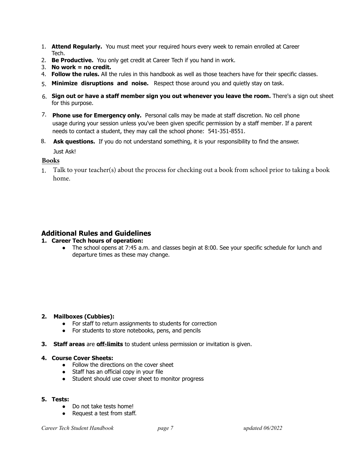- 1. **Attend Regularly.** You must meet your required hours every week to remain enrolled at Career Tech.
- 2. **Be Productive.** You only get credit at Career Tech if you hand in work.
- 3. **No work = no credit.**
- 4. **Follow the rules.** All the rules in this handbook as well as those teachers have for their specific classes.
- 5. **Minimize disruptions and noise.** Respect those around you and quietly stay on task.
- 6. **Sign out or have a staff member sign you out whenever you leave the room.** There's a sign out sheet for this purpose.
- 7. **Phone use for Emergency only.** Personal calls may be made at staff discretion. No cell phone usage during your session unless you've been given specific permission by a staff member. If a parent needs to contact a student, they may call the school phone: 541-351-8551.
- 8. **Ask questions.** If you do not understand something, it is your responsibility to find the answer. Just Ask!

#### **Books**

1. Talk to your teacher(s) about the process for checking out a book from school prior to taking a book home.

# **Additional Rules and Guidelines**

#### **1. Career Tech hours of operation:**

• The school opens at 7:45 a.m. and classes begin at 8:00. See your specific schedule for lunch and departure times as these may change.

#### **2. Mailboxes (Cubbies):**

- For staff to return assignments to students for correction
- For students to store notebooks, pens, and pencils
- **3. Staff areas** are **off-limits** to student unless permission or invitation is given.

#### **4. Course Cover Sheets:**

- Follow the directions on the cover sheet
- Staff has an official copy in your file
- Student should use cover sheet to monitor progress

#### **5. Tests:**

- Do not take tests home!
- Request a test from staff.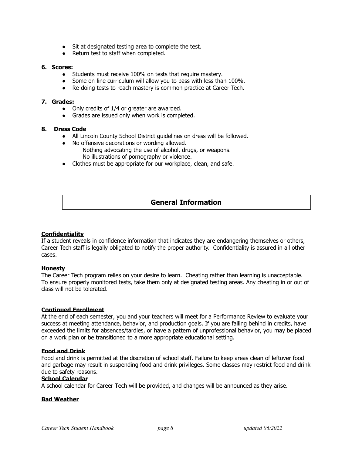- Sit at designated testing area to complete the test.
- Return test to staff when completed.

#### **6. Scores:**

- Students must receive 100% on tests that require mastery.
- Some on-line curriculum will allow you to pass with less than 100%.
- Re-doing tests to reach mastery is common practice at Career Tech.

#### **7. Grades:**

- Only credits of 1/4 or greater are awarded.
- Grades are issued only when work is completed.

#### **8. Dress Code**

- All Lincoln County School District guidelines on dress will be followed.
- No offensive decorations or wording allowed.
	- Nothing advocating the use of alcohol, drugs, or weapons. No illustrations of pornography or violence.
- Clothes must be appropriate for our workplace, clean, and safe.

# **General Information**

#### **Confidentiality**

 Career Tech staff is legally obligated to notify the proper authority. Confidentiality is assured in all other If a student reveals in confidence information that indicates they are endangering themselves or others, cases.

#### **Honesty**

The Career Tech program relies on your desire to learn. Cheating rather than learning is unacceptable. To ensure properly monitored tests, take them only at designated testing areas. Any cheating in or out of class will not be tolerated.

#### **Continued Enrollment**

At the end of each semester, you and your teachers will meet for a Performance Review to evaluate your success at meeting attendance, behavior, and production goals. If you are falling behind in credits, have exceeded the limits for absences/tardies, or have a pattern of unprofessional behavior, you may be placed on a work plan or be transitioned to a more appropriate educational setting.

#### **Food and Drink**

Food and drink is permitted at the discretion of school staff. Failure to keep areas clean of leftover food and garbage may result in suspending food and drink privileges. Some classes may restrict food and drink due to safety reasons.

#### **School Calendar**

A school calendar for Career Tech will be provided, and changes will be announced as they arise.

#### **Bad Weather**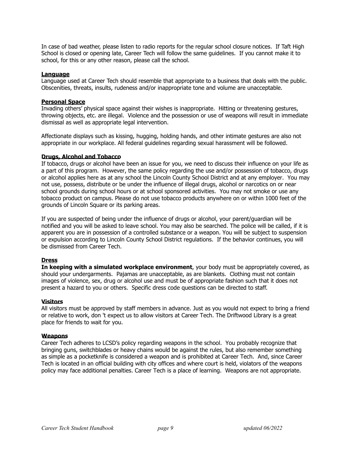School is closed or opening late, Career Tech will follow the same guidelines. If you cannot make it to In case of bad weather, please listen to radio reports for the regular school closure notices. If Taft High school, for this or any other reason, please call the school.

#### **Language**

Language used at Career Tech should resemble that appropriate to a business that deals with the public. Obscenities, threats, insults, rudeness and/or inappropriate tone and volume are unacceptable.

#### **Personal Space**

 throwing objects, etc. are illegal. Violence and the possession or use of weapons will result in immediate dismissal as well as appropriate legal intervention. Invading others' physical space against their wishes is inappropriate. Hitting or threatening gestures,

 appropriate in our workplace. All federal guidelines regarding sexual harassment will be followed. Affectionate displays such as kissing, hugging, holding hands, and other intimate gestures are also not

#### **Drugs, Alcohol and Tobacco**

If tobacco, drugs or alcohol have been an issue for you, we need to discuss their influence on your life as a part of this program. However, the same policy regarding the use and/or possession of tobacco, drugs or alcohol applies here as at any school the Lincoln County School District and at any employer. You may not use, possess, distribute or be under the influence of illegal drugs, alcohol or narcotics on or near school grounds during school hours or at school sponsored activities. You may not smoke or use any tobacco product on campus. Please do not use tobacco products anywhere on or within 1000 feet of the grounds of Lincoln Square or its parking areas.

If you are suspected of being under the influence of drugs or alcohol, your parent/guardian will be notified and you will be asked to leave school. You may also be searched. The police will be called, if it is apparent you are in possession of a controlled substance or a weapon. You will be subject to suspension or expulsion according to Lincoln County School District regulations. If the behavior continues, you will be dismissed from Career Tech.

#### **Dress**

 images of violence, sex, drug or alcohol use and must be of appropriate fashion such that it does not present a hazard to you or others. Specific dress code questions can be directed to staff. **In keeping with a simulated workplace environment**, your body must be appropriately covered, as should your undergarments. Pajamas are unacceptable, as are blankets. Clothing must not contain

#### **Visitors**

All visitors must be approved by staff members in advance. Just as you would not expect to bring a friend or relative to work, don 't expect us to allow visitors at Career Tech. The Driftwood Library is a great place for friends to wait for you.

#### **Weapons**

Career Tech adheres to LCSD's policy regarding weapons in the school. You probably recognize that bringing guns, switchblades or heavy chains would be against the rules, but also remember something as simple as a pocketknife is considered a weapon and is prohibited at Career Tech. And, since Career Tech is located in an official building with city offices and where court is held, violators of the weapons policy may face additional penalties. Career Tech is a place of learning. Weapons are not appropriate.